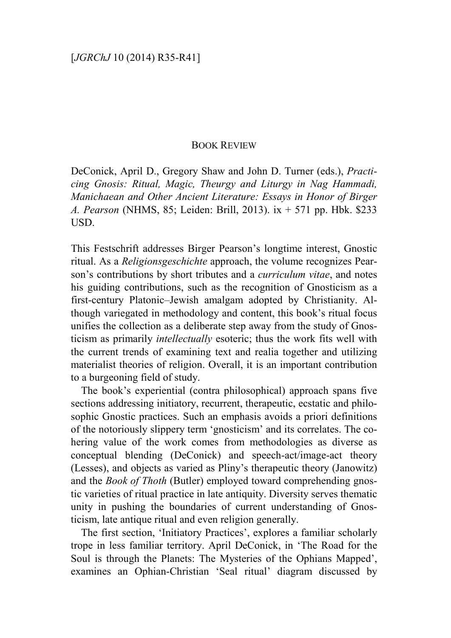## BOOK REVIEW

DeConick, April D., Gregory Shaw and John D. Turner (eds.), *Practicing Gnosis: Ritual, Magic, Theurgy and Liturgy in Nag Hammadi, Manichaean and Other Ancient Literature: Essays in Honor of Birger A. Pearson* (NHMS, 85; Leiden: Brill, 2013). ix + 571 pp. Hbk. \$233 USD.

This Festschrift addresses Birger Pearson's longtime interest, Gnostic ritual. As a *Religionsgeschichte* approach, the volume recognizes Pearson's contributions by short tributes and a *curriculum vitae*, and notes his guiding contributions, such as the recognition of Gnosticism as a first-century Platonic–Jewish amalgam adopted by Christianity. Although variegated in methodology and content, this book's ritual focus unifies the collection as a deliberate step away from the study of Gnosticism as primarily *intellectually* esoteric; thus the work fits well with the current trends of examining text and realia together and utilizing materialist theories of religion. Overall, it is an important contribution to a burgeoning field of study.

The book's experiential (contra philosophical) approach spans five sections addressing initiatory, recurrent, therapeutic, ecstatic and philosophic Gnostic practices. Such an emphasis avoids a priori definitions of the notoriously slippery term 'gnosticism' and its correlates. The cohering value of the work comes from methodologies as diverse as conceptual blending (DeConick) and speech-act/image-act theory (Lesses), and objects as varied as Pliny's therapeutic theory (Janowitz) and the *Book of Thoth* (Butler) employed toward comprehending gnostic varieties of ritual practice in late antiquity. Diversity serves thematic unity in pushing the boundaries of current understanding of Gnosticism, late antique ritual and even religion generally.

The first section, 'Initiatory Practices', explores a familiar scholarly trope in less familiar territory. April DeConick, in 'The Road for the Soul is through the Planets: The Mysteries of the Ophians Mapped', examines an Ophian-Christian 'Seal ritual' diagram discussed by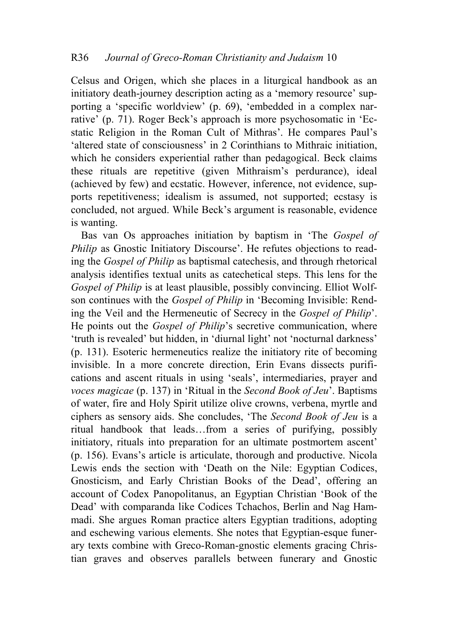Celsus and Origen, which she places in a liturgical handbook as an initiatory death-journey description acting as a 'memory resource' supporting a 'specific worldview' (p. 69), 'embedded in a complex narrative' (p. 71). Roger Beck's approach is more psychosomatic in 'Ecstatic Religion in the Roman Cult of Mithras'. He compares Paul's 'altered state of consciousness' in 2 Corinthians to Mithraic initiation, which he considers experiential rather than pedagogical. Beck claims these rituals are repetitive (given Mithraism's perdurance), ideal (achieved by few) and ecstatic. However, inference, not evidence, supports repetitiveness; idealism is assumed, not supported; ecstasy is concluded, not argued. While Beck's argument is reasonable, evidence is wanting.

Bas van Os approaches initiation by baptism in 'The *Gospel of Philip* as Gnostic Initiatory Discourse'. He refutes objections to reading the *Gospel of Philip* as baptismal catechesis, and through rhetorical analysis identifies textual units as catechetical steps. This lens for the *Gospel of Philip* is at least plausible, possibly convincing. Elliot Wolfson continues with the *Gospel of Philip* in 'Becoming Invisible: Rending the Veil and the Hermeneutic of Secrecy in the *Gospel of Philip*'. He points out the *Gospel of Philip*'s secretive communication, where 'truth is revealed' but hidden, in 'diurnal light' not 'nocturnal darkness' (p. 131). Esoteric hermeneutics realize the initiatory rite of becoming invisible. In a more concrete direction, Erin Evans dissects purifications and ascent rituals in using 'seals', intermediaries, prayer and *voces magicae* (p. 137) in 'Ritual in the *Second Book of Jeu*'. Baptisms of water, fire and Holy Spirit utilize olive crowns, verbena, myrtle and ciphers as sensory aids. She concludes, 'The *Second Book of Jeu* is a ritual handbook that leads…from a series of purifying, possibly initiatory, rituals into preparation for an ultimate postmortem ascent' (p. 156). Evans's article is articulate, thorough and productive. Nicola Lewis ends the section with 'Death on the Nile: Egyptian Codices, Gnosticism, and Early Christian Books of the Dead', offering an account of Codex Panopolitanus, an Egyptian Christian 'Book of the Dead' with comparanda like Codices Tchachos, Berlin and Nag Hammadi. She argues Roman practice alters Egyptian traditions, adopting and eschewing various elements. She notes that Egyptian-esque funerary texts combine with Greco-Roman-gnostic elements gracing Christian graves and observes parallels between funerary and Gnostic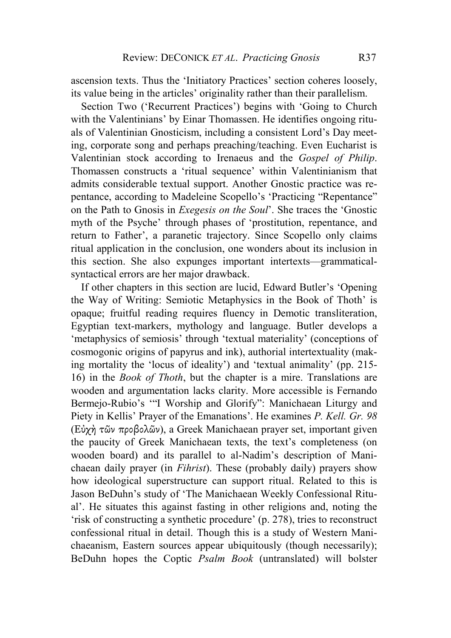ascension texts. Thus the 'Initiatory Practices' section coheres loosely, its value being in the articles' originality rather than their parallelism.

Section Two ('Recurrent Practices') begins with 'Going to Church with the Valentinians' by Einar Thomassen. He identifies ongoing rituals of Valentinian Gnosticism, including a consistent Lord's Day meeting, corporate song and perhaps preaching/teaching. Even Eucharist is Valentinian stock according to Irenaeus and the *Gospel of Philip*. Thomassen constructs a 'ritual sequence' within Valentinianism that admits considerable textual support. Another Gnostic practice was repentance, according to Madeleine Scopello's 'Practicing "Repentance" on the Path to Gnosis in *Exegesis on the Soul*'. She traces the 'Gnostic myth of the Psyche' through phases of 'prostitution, repentance, and return to Father', a paranetic trajectory. Since Scopello only claims ritual application in the conclusion, one wonders about its inclusion in this section. She also expunges important intertexts—grammaticalsyntactical errors are her major drawback.

If other chapters in this section are lucid, Edward Butler's 'Opening the Way of Writing: Semiotic Metaphysics in the Book of Thoth' is opaque; fruitful reading requires fluency in Demotic transliteration, Egyptian text-markers, mythology and language. Butler develops a 'metaphysics of semiosis' through 'textual materiality' (conceptions of cosmogonic origins of papyrus and ink), authorial intertextuality (making mortality the 'locus of ideality') and 'textual animality' (pp. 215- 16) in the *Book of Thoth*, but the chapter is a mire. Translations are wooden and argumentation lacks clarity. More accessible is Fernando Bermejo-Rubio's '"I Worship and Glorify": Manichaean Liturgy and Piety in Kellis' Prayer of the Emanations'. He examines *P. Kell. Gr. 98* (Εὐχὴ τῶν προβολῶν), a Greek Manichaean prayer set, important given the paucity of Greek Manichaean texts, the text's completeness (on wooden board) and its parallel to al-Nadim's description of Manichaean daily prayer (in *Fihrist*). These (probably daily) prayers show how ideological superstructure can support ritual. Related to this is Jason BeDuhn's study of 'The Manichaean Weekly Confessional Ritual'. He situates this against fasting in other religions and, noting the 'risk of constructing a synthetic procedure' (p. 278), tries to reconstruct confessional ritual in detail. Though this is a study of Western Manichaeanism, Eastern sources appear ubiquitously (though necessarily); BeDuhn hopes the Coptic *Psalm Book* (untranslated) will bolster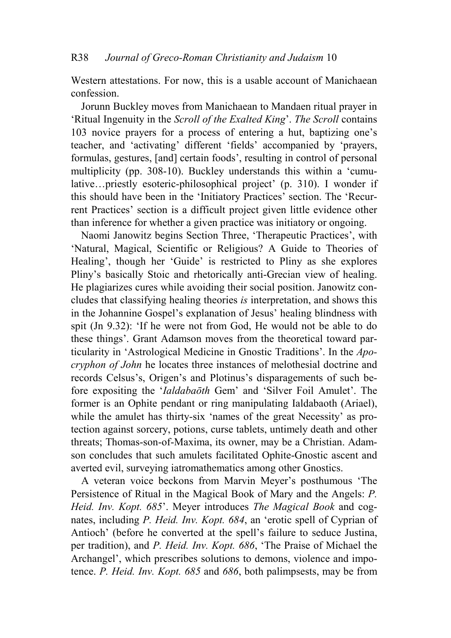Western attestations. For now, this is a usable account of Manichaean confession.

Jorunn Buckley moves from Manichaean to Mandaen ritual prayer in 'Ritual Ingenuity in the *Scroll of the Exalted King*'. *The Scroll* contains 103 novice prayers for a process of entering a hut, baptizing one's teacher, and 'activating' different 'fields' accompanied by 'prayers, formulas, gestures, [and] certain foods', resulting in control of personal multiplicity (pp. 308-10). Buckley understands this within a 'cumulative…priestly esoteric-philosophical project' (p. 310). I wonder if this should have been in the 'Initiatory Practices' section. The 'Recurrent Practices' section is a difficult project given little evidence other than inference for whether a given practice was initiatory or ongoing.

Naomi Janowitz begins Section Three, 'Therapeutic Practices', with 'Natural, Magical, Scientific or Religious? A Guide to Theories of Healing', though her 'Guide' is restricted to Pliny as she explores Pliny's basically Stoic and rhetorically anti-Grecian view of healing. He plagiarizes cures while avoiding their social position. Janowitz concludes that classifying healing theories *is* interpretation, and shows this in the Johannine Gospel's explanation of Jesus' healing blindness with spit (Jn 9.32): 'If he were not from God, He would not be able to do these things'. Grant Adamson moves from the theoretical toward particularity in 'Astrological Medicine in Gnostic Traditions'. In the *Apocryphon of John* he locates three instances of melothesial doctrine and records Celsus's, Origen's and Plotinus's disparagements of such before expositing the '*Ialdabaōth* Gem' and 'Silver Foil Amulet'. The former is an Ophite pendant or ring manipulating Ialdabaoth (Ariael), while the amulet has thirty-six 'names of the great Necessity' as protection against sorcery, potions, curse tablets, untimely death and other threats; Thomas-son-of-Maxima, its owner, may be a Christian. Adamson concludes that such amulets facilitated Ophite-Gnostic ascent and averted evil, surveying iatromathematics among other Gnostics.

A veteran voice beckons from Marvin Meyer's posthumous 'The Persistence of Ritual in the Magical Book of Mary and the Angels: *P. Heid. Inv. Kopt. 685*'. Meyer introduces *The Magical Book* and cognates, including *P. Heid. Inv. Kopt. 684*, an 'erotic spell of Cyprian of Antioch' (before he converted at the spell's failure to seduce Justina, per tradition), and *P. Heid. Inv. Kopt. 686*, 'The Praise of Michael the Archangel', which prescribes solutions to demons, violence and impotence. *P. Heid. Inv. Kopt. 685* and *686*, both palimpsests, may be from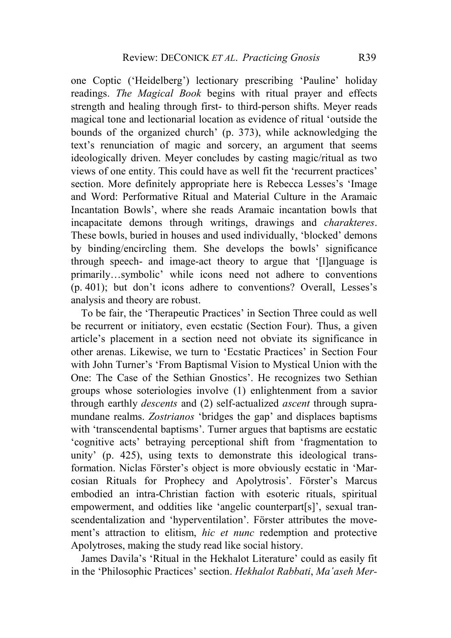one Coptic ('Heidelberg') lectionary prescribing 'Pauline' holiday readings. *The Magical Book* begins with ritual prayer and effects strength and healing through first- to third-person shifts. Meyer reads magical tone and lectionarial location as evidence of ritual 'outside the bounds of the organized church' (p. 373), while acknowledging the text's renunciation of magic and sorcery, an argument that seems ideologically driven. Meyer concludes by casting magic/ritual as two views of one entity. This could have as well fit the 'recurrent practices' section. More definitely appropriate here is Rebecca Lesses's 'Image and Word: Performative Ritual and Material Culture in the Aramaic Incantation Bowls', where she reads Aramaic incantation bowls that incapacitate demons through writings, drawings and *charakteres*. These bowls, buried in houses and used individually, 'blocked' demons by binding/encircling them. She develops the bowls' significance through speech- and image-act theory to argue that '[l]anguage is primarily…symbolic' while icons need not adhere to conventions (p. 401); but don't icons adhere to conventions? Overall, Lesses's analysis and theory are robust.

To be fair, the 'Therapeutic Practices' in Section Three could as well be recurrent or initiatory, even ecstatic (Section Four). Thus, a given article's placement in a section need not obviate its significance in other arenas. Likewise, we turn to 'Ecstatic Practices' in Section Four with John Turner's 'From Baptismal Vision to Mystical Union with the One: The Case of the Sethian Gnostics'. He recognizes two Sethian groups whose soteriologies involve (1) enlightenment from a savior through earthly *descents* and (2) self-actualized *ascent* through supramundane realms. *Zostrianos* 'bridges the gap' and displaces baptisms with 'transcendental baptisms'. Turner argues that baptisms are ecstatic 'cognitive acts' betraying perceptional shift from 'fragmentation to unity' (p. 425), using texts to demonstrate this ideological transformation. Niclas Förster's object is more obviously ecstatic in 'Marcosian Rituals for Prophecy and Apolytrosis'. Förster's Marcus embodied an intra-Christian faction with esoteric rituals, spiritual empowerment, and oddities like 'angelic counterpart[s]', sexual transcendentalization and 'hyperventilation'. Förster attributes the movement's attraction to elitism, *hic et nunc* redemption and protective Apolytroses, making the study read like social history.

James Davila's 'Ritual in the Hekhalot Literature' could as easily fit in the 'Philosophic Practices' section. *Hekhalot Rabbati*, *Ma'aseh Mer*-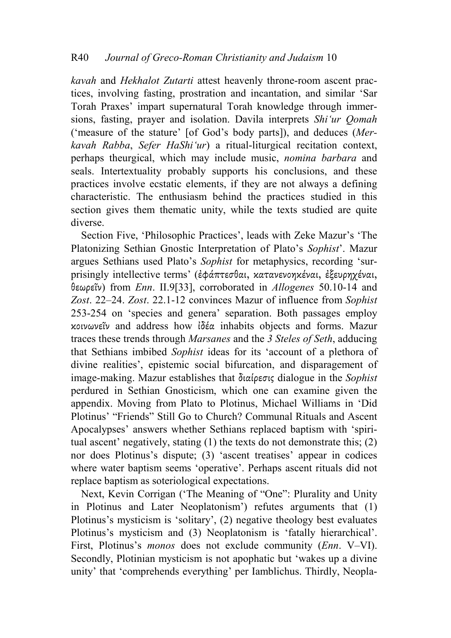## R40 *Journal of Greco-Roman Christianity and Judaism* 10

*kavah* and *Hekhalot Zutarti* attest heavenly throne-room ascent practices, involving fasting, prostration and incantation, and similar 'Sar Torah Praxes' impart supernatural Torah knowledge through immersions, fasting, prayer and isolation. Davila interprets *Shiʻur Qomah*  ('measure of the stature' [of God's body parts]), and deduces (*Merkavah Rabba*, *Sefer HaShiʻur*) a ritual-liturgical recitation context, perhaps theurgical, which may include music, *nomina barbara* and seals. Intertextuality probably supports his conclusions, and these practices involve ecstatic elements, if they are not always a defining characteristic. The enthusiasm behind the practices studied in this section gives them thematic unity, while the texts studied are quite diverse.

Section Five, 'Philosophic Practices', leads with Zeke Mazur's 'The Platonizing Sethian Gnostic Interpretation of Plato's *Sophist*'. Mazur argues Sethians used Plato's *Sophist* for metaphysics, recording 'surprisingly intellective terms' (ἐφάπτεσθαι, κατανενοηκέναι, ἐξευρηχέναι, θεωρεῖν) from *Enn*. II.9[33], corroborated in *Allogenes* 50.10-14 and *Zost*. 22–24. *Zost*. 22.1-12 convinces Mazur of influence from *Sophist* 253-254 on 'species and genera' separation. Both passages employ κοινωνεῖν and address how ἰδέα inhabits objects and forms. Mazur traces these trends through *Marsanes* and the *3 Steles of Seth*, adducing that Sethians imbibed *Sophist* ideas for its 'account of a plethora of divine realities', epistemic social bifurcation, and disparagement of image-making. Mazur establishes that διαίρεσις dialogue in the *Sophist* perdured in Sethian Gnosticism, which one can examine given the appendix. Moving from Plato to Plotinus, Michael Williams in 'Did Plotinus' "Friends" Still Go to Church? Communal Rituals and Ascent Apocalypses' answers whether Sethians replaced baptism with 'spiritual ascent' negatively, stating (1) the texts do not demonstrate this; (2) nor does Plotinus's dispute; (3) 'ascent treatises' appear in codices where water baptism seems 'operative'. Perhaps ascent rituals did not replace baptism as soteriological expectations.

Next, Kevin Corrigan ('The Meaning of "One": Plurality and Unity in Plotinus and Later Neoplatonism') refutes arguments that (1) Plotinus's mysticism is 'solitary', (2) negative theology best evaluates Plotinus's mysticism and (3) Neoplatonism is 'fatally hierarchical'. First, Plotinus's *monos* does not exclude community (*Enn*. V–VI). Secondly, Plotinian mysticism is not apophatic but 'wakes up a divine unity' that 'comprehends everything' per Iamblichus. Thirdly, Neopla